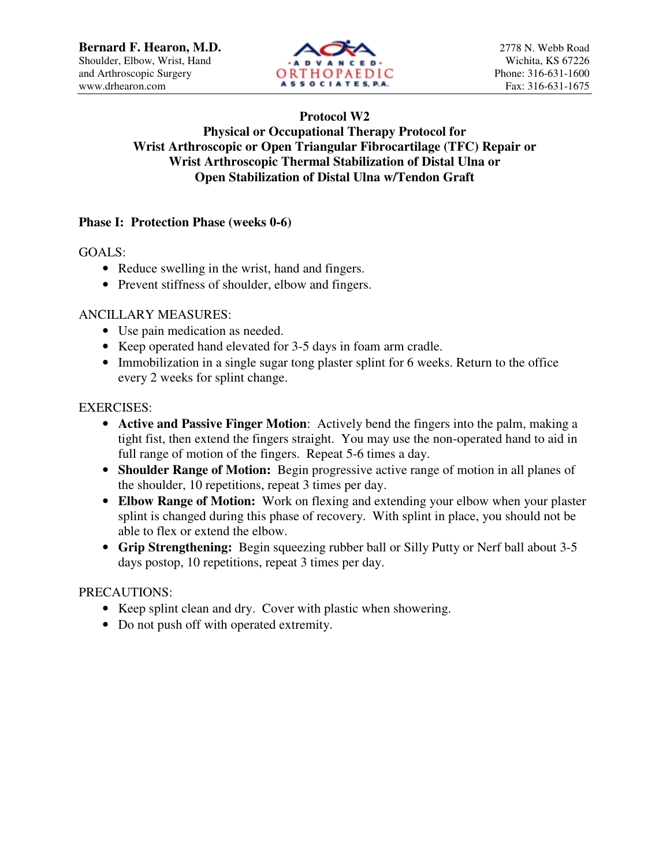

## **Protocol W2 Physical or Occupational Therapy Protocol for Wrist Arthroscopic or Open Triangular Fibrocartilage (TFC) Repair or Wrist Arthroscopic Thermal Stabilization of Distal Ulna or Open Stabilization of Distal Ulna w/Tendon Graft**

## **Phase I: Protection Phase (weeks 0-6)**

GOALS:

- Reduce swelling in the wrist, hand and fingers.
- Prevent stiffness of shoulder, elbow and fingers.

#### ANCILLARY MEASURES:

- Use pain medication as needed.
- Keep operated hand elevated for 3-5 days in foam arm cradle.
- Immobilization in a single sugar tong plaster splint for 6 weeks. Return to the office every 2 weeks for splint change.

#### EXERCISES:

- **Active and Passive Finger Motion**: Actively bend the fingers into the palm, making a tight fist, then extend the fingers straight. You may use the non-operated hand to aid in full range of motion of the fingers. Repeat 5-6 times a day.
- **Shoulder Range of Motion:** Begin progressive active range of motion in all planes of the shoulder, 10 repetitions, repeat 3 times per day.
- **Elbow Range of Motion:** Work on flexing and extending your elbow when your plaster splint is changed during this phase of recovery. With splint in place, you should not be able to flex or extend the elbow.
- **Grip Strengthening:** Begin squeezing rubber ball or Silly Putty or Nerf ball about 3-5 days postop, 10 repetitions, repeat 3 times per day.

#### PRECAUTIONS:

- Keep splint clean and dry. Cover with plastic when showering.
- Do not push off with operated extremity.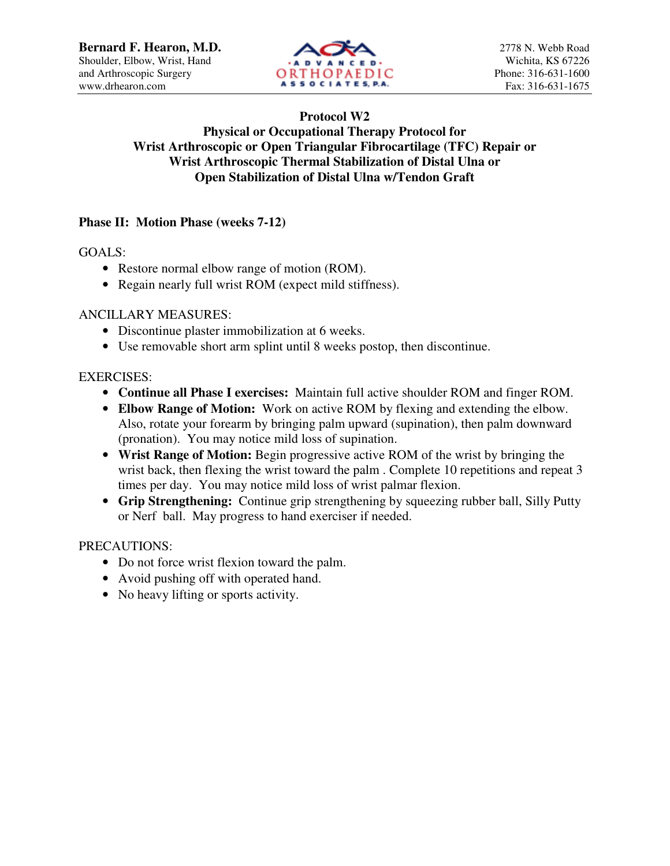

## **Protocol W2 Physical or Occupational Therapy Protocol for Wrist Arthroscopic or Open Triangular Fibrocartilage (TFC) Repair or Wrist Arthroscopic Thermal Stabilization of Distal Ulna or Open Stabilization of Distal Ulna w/Tendon Graft**

# **Phase II: Motion Phase (weeks 7-12)**

GOALS:

- Restore normal elbow range of motion (ROM).
- Regain nearly full wrist ROM (expect mild stiffness).

#### ANCILLARY MEASURES:

- Discontinue plaster immobilization at 6 weeks.
- Use removable short arm splint until 8 weeks postop, then discontinue.

#### EXERCISES:

- **Continue all Phase I exercises:** Maintain full active shoulder ROM and finger ROM.
- **Elbow Range of Motion:** Work on active ROM by flexing and extending the elbow. Also, rotate your forearm by bringing palm upward (supination), then palm downward (pronation). You may notice mild loss of supination.
- **Wrist Range of Motion:** Begin progressive active ROM of the wrist by bringing the wrist back, then flexing the wrist toward the palm. Complete 10 repetitions and repeat 3 times per day. You may notice mild loss of wrist palmar flexion.
- **Grip Strengthening:** Continue grip strengthening by squeezing rubber ball, Silly Putty or Nerf ball. May progress to hand exerciser if needed.

#### PRECAUTIONS:

- Do not force wrist flexion toward the palm.
- Avoid pushing off with operated hand.
- No heavy lifting or sports activity.